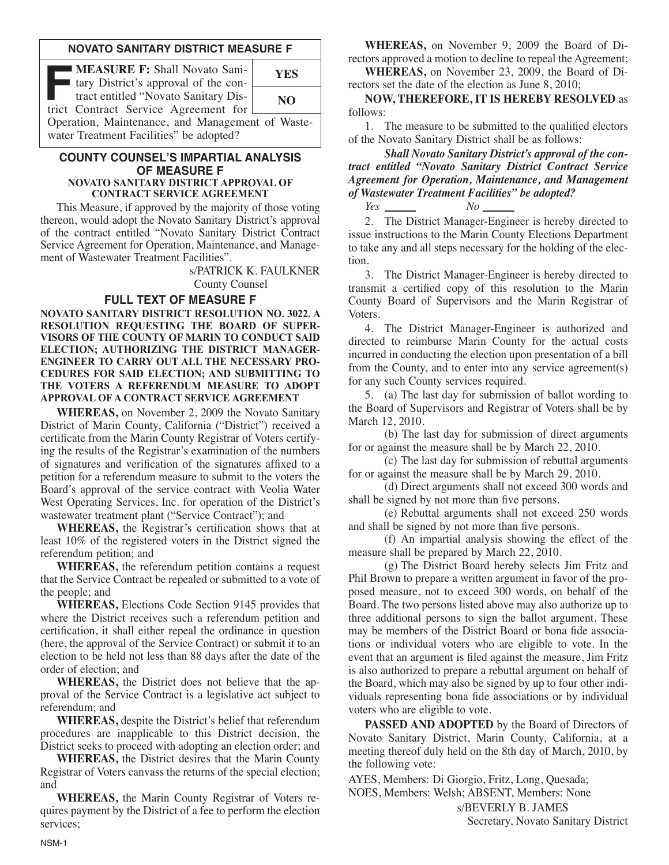### **NOVATO SANITARY DISTRICT MEASURE F**

| I tary District's approval of the con-                                                      |     |
|---------------------------------------------------------------------------------------------|-----|
| tract entitled "Novato Sanitary Dis-<br>trict Contract Service Agreement for                | NO. |
| Operation, Maintenance, and Management of Waste-<br>water Treatment Facilities" be adopted? |     |

#### **COUNTY COUNSEL'S IMPARTIAL ANALYSIS OF MEASURE F NOVATO SANITARY DISTRICT APPROVAL OF CONTRACT SERVICE AGREEMENT**

 This Measure, if approved by the majority of those voting thereon, would adopt the Novato Sanitary District's approval of the contract entitled "Novato Sanitary District Contract Service Agreement for Operation, Maintenance, and Management of Wastewater Treatment Facilities".

> s/PATRICK K. FAULKNER County Counsel

### **FULL TEXT OF MEASURE F**

**NOVATO SANITARY DISTRICT RESOLUTION NO. 3022. A RESOLUTION REQUESTING THE BOARD OF SUPER-VISORS OF THE COUNTY OF MARIN TO CONDUCT SAID ELECTION; AUTHORIZING THE DISTRICT MANAGER-ENGINEER TO CARRY OUT ALL THE NECESSARY PRO-CEDURES FOR SAID ELECTION; AND SUBMITTING TO THE VOTERS A REFERENDUM MEASURE TO ADOPT APPROVAL OF A CONTRACT SERVICE AGREEMENT**

**WHEREAS,** on November 2, 2009 the Novato Sanitary District of Marin County, California ("District") received a certificate from the Marin County Registrar of Voters certifying the results of the Registrar's examination of the numbers of signatures and verification of the signatures affixed to a petition for a referendum measure to submit to the voters the Board's approval of the service contract with Veolia Water West Operating Services, Inc. for operation of the District's wastewater treatment plant ("Service Contract"); and

 **WHEREAS,** the Registrar's certification shows that at least 10% of the registered voters in the District signed the referendum petition; and

**WHEREAS,** the referendum petition contains a request that the Service Contract be repealed or submitted to a vote of the people; and

 **WHEREAS,** Elections Code Section 9145 provides that where the District receives such a referendum petition and certification, it shall either repeal the ordinance in question (here, the approval of the Service Contract) or submit it to an election to be held not less than 88 days after the date of the order of election; and

**WHEREAS,** the District does not believe that the approval of the Service Contract is a legislative act subject to referendum; and

 **WHEREAS,** despite the District's belief that referendum procedures are inapplicable to this District decision, the District seeks to proceed with adopting an election order; and

 **WHEREAS,** the District desires that the Marin County Registrar of Voters canvass the returns of the special election; and

**WHEREAS,** the Marin County Registrar of Voters requires payment by the District of a fee to perform the election services;

**WHEREAS,** on November 9, 2009 the Board of Directors approved a motion to decline to repeal the Agreement;

**WHEREAS,** on November 23, 2009, the Board of Directors set the date of the election as June 8, 2010;

 **NOW, THEREFORE, IT IS HEREBY RESOLVED** as follows:

 1. The measure to be submitted to the qualified electors of the Novato Sanitary District shall be as follows:

 *Shall Novato Sanitary District's approval of the contract entitled "Novato Sanitary District Contract Ser vice* Agreement for Operation, Maintenance, and Management *of Wastewater Treatment Facilities" be adopted?*

*Yes No*

 2. The District Manager-Engineer is hereby directed to issue instructions to the Marin County Elections Department to take any and all steps necessary for the holding of the election.

 3. The District Manager-Engineer is hereby directed to transmit a certified copy of this resolution to the Marin County Board of Supervisors and the Marin Registrar of Voters.

 4. The District Manager-Engineer is authorized and directed to reimburse Marin County for the actual costs incurred in conducting the election upon presentation of a bill from the County, and to enter into any service agreement(s) for any such County services required.

 5. (a) The last day for submission of ballot wording to the Board of Supervisors and Registrar of Voters shall be by March 12, 2010.

 (b) The last day for submission of direct arguments for or against the measure shall be by March 22, 2010.

 (c) The last day for submission of rebuttal arguments for or against the measure shall be by March 29, 2010.

 (d) Direct arguments shall not exceed 300 words and shall be signed by not more than five persons.

 (e) Rebuttal arguments shall not exceed 250 words and shall be signed by not more than five persons.

 (f) An impartial analysis showing the effect of the measure shall be prepared by March 22, 2010.

 (g) The District Board hereby selects Jim Fritz and Phil Brown to prepare a written argument in favor of the proposed measure, not to exceed 300 words, on behalf of the Board. The two persons listed above may also authorize up to three additional persons to sign the ballot argument. These may be members of the District Board or bona fide associations or individual voters who are eligible to vote. In the event that an argument is filed against the measure, Jim Fritz is also authorized to prepare a rebuttal argument on behalf of the Board, which may also be signed by up to four other individuals representing bona fide associations or by individual voters who are eligible to vote.

**PASSED AND ADOPTED** by the Board of Directors of Novato Sanitary District, Marin County, California, at a meeting thereof duly held on the 8th day of March, 2010, by the following vote:

AYES, Members: Di Giorgio, Fritz, Long, Quesada; NOES, Members: Welsh; ABSENT, Members: None

> s/BEVERLY B. JAMES Secretary, Novato Sanitary District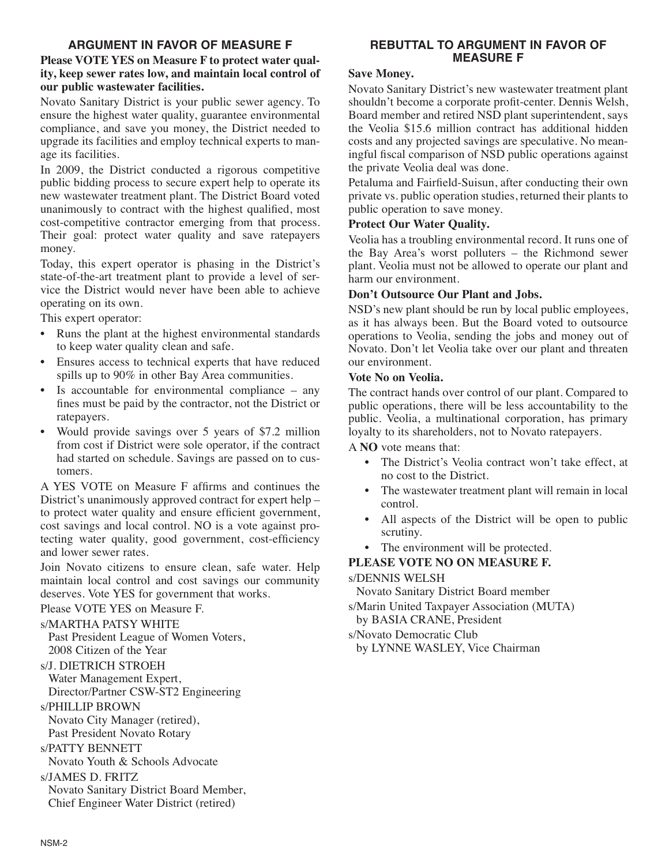# **ARGUMENT IN FAVOR OF MEASURE F**

## **Please VOTE YES on Measure F to protect water quality, keep sewer rates low, and maintain local control of our public wastewater facilities.**

Novato Sanitary District is your public sewer agency. To ensure the highest water quality, guarantee environmental compliance, and save you money, the District needed to upgrade its facilities and employ technical experts to manage its facilities.

In 2009, the District conducted a rigorous competitive public bidding process to secure expert help to operate its new wastewater treatment plant. The District Board voted unanimously to contract with the highest qualified, most cost-competitive contractor emerging from that process. Their goal: protect water quality and save ratepayers money.

Today, this expert operator is phasing in the District's state-of-the-art treatment plant to provide a level of service the District would never have been able to achieve operating on its own.

This expert operator:

- Runs the plant at the highest environmental standards to keep water quality clean and safe.
- Ensures access to technical experts that have reduced spills up to 90% in other Bay Area communities.
- Is accountable for environmental compliance  $-$  any fines must be paid by the contractor, not the District or ratepayers.
- Would provide savings over 5 years of \$7.2 million from cost if District were sole operator, if the contract had started on schedule. Savings are passed on to customers.

A YES VOTE on Measure F affirms and continues the District's unanimously approved contract for expert help – to protect water quality and ensure efficient government, cost savings and local control. NO is a vote against protecting water quality, good government, cost-efficiency and lower sewer rates.

Join Novato citizens to ensure clean, safe water. Help maintain local control and cost savings our community deserves. Vote YES for government that works.

Please VOTE YES on Measure F.

# s/MARTHA PATSY WHITE

Past President League of Women Voters, 2008 Citizen of the Year

s/J. DIETRICH STROEH

Water Management Expert,

Director/Partner CSW-ST2 Engineering

s/PHILLIP BROWN

Novato City Manager (retired), Past President Novato Rotary

s/PATTY BENNETT

Novato Youth & Schools Advocate

# s/JAMES D. FRITZ

Novato Sanitary District Board Member, Chief Engineer Water District (retired)

# **REBUTTAL TO ARGUMENT IN FAVOR OF MEASURE F**

### **Save Money.**

Novato Sanitary District's new wastewater treatment plant shouldn't become a corporate profit-center. Dennis Welsh, Board member and retired NSD plant superintendent, says the Veolia \$15.6 million contract has additional hidden costs and any projected savings are speculative. No meaningful fiscal comparison of NSD public operations against the private Veolia deal was done.

Petaluma and Fairfield-Suisun, after conducting their own private vs. public operation studies, returned their plants to public operation to save money.

## **Protect Our Water Quality.**

Veolia has a troubling environmental record. It runs one of the Bay Area's worst polluters – the Richmond sewer plant. Veolia must not be allowed to operate our plant and harm our environment.

## **Don't Outsource Our Plant and Jobs.**

NSD's new plant should be run by local public employees, as it has always been. But the Board voted to outsource operations to Veolia, sending the jobs and money out of Novato. Don't let Veolia take over our plant and threaten our environment.

## **Vote No on Veolia.**

The contract hands over control of our plant. Compared to public operations, there will be less accountability to the public. Veolia, a multinational corporation, has primary loyalty to its shareholders, not to Novato ratepayers.

A **NO** vote means that:

- The District's Veolia contract won't take effect, at no cost to the District.
- The wastewater treatment plant will remain in local control.
- All aspects of the District will be open to public scrutiny.
- The environment will be protected.

# **PLEASE VOTE NO ON MEASURE F.**

## s/DENNIS WELSH

Novato Sanitary District Board member

s/Marin United Taxpayer Association (MUTA) by BASIA CRANE, President

s/Novato Democratic Club

by LYNNE WASLEY, Vice Chairman